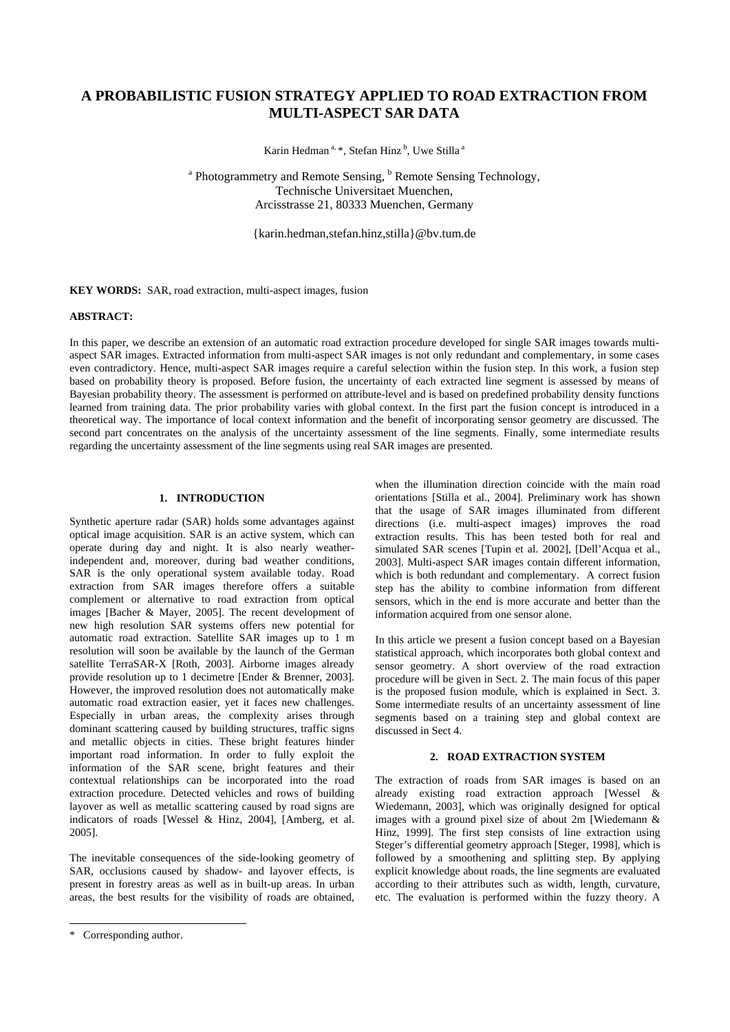# **A PROBABILISTIC FUSION STRATEGY APPLIED TO ROAD EXTRACTION FROM MULTI-ASPECT SAR DATA**

Karin Hedman<sup> $a, *$ </sup>, Stefan Hinz<sup>b</sup>, Uwe Stilla<sup>a</sup>

<sup>a</sup> Photogrammetry and Remote Sensing, <sup>b</sup> Remote Sensing Technology, Technische Universitaet Muenchen, Arcisstrasse 21, 80333 Muenchen, Germany

{karin.hedman,stefan.hinz,stilla}@bv.tum.de

**KEY WORDS:** SAR, road extraction, multi-aspect images, fusion

## **ABSTRACT:**

In this paper, we describe an extension of an automatic road extraction procedure developed for single SAR images towards multiaspect SAR images. Extracted information from multi-aspect SAR images is not only redundant and complementary, in some cases even contradictory. Hence, multi-aspect SAR images require a careful selection within the fusion step. In this work, a fusion step based on probability theory is proposed. Before fusion, the uncertainty of each extracted line segment is assessed by means of Bayesian probability theory. The assessment is performed on attribute-level and is based on predefined probability density functions learned from training data. The prior probability varies with global context. In the first part the fusion concept is introduced in a theoretical way. The importance of local context information and the benefit of incorporating sensor geometry are discussed. The second part concentrates on the analysis of the uncertainty assessment of the line segments. Finally, some intermediate results regarding the uncertainty assessment of the line segments using real SAR images are presented.

#### **1. INTRODUCTION**

Synthetic aperture radar (SAR) holds some advantages against optical image acquisition. SAR is an active system, which can operate during day and night. It is also nearly weatherindependent and, moreover, during bad weather conditions, SAR is the only operational system available today. Road extraction from SAR images therefore offers a suitable complement or alternative to road extraction from optical images [Bacher & Mayer, 2005]. The recent development of new high resolution SAR systems offers new potential for automatic road extraction. Satellite SAR images up to 1 m resolution will soon be available by the launch of the German satellite TerraSAR-X [Roth, 2003]. Airborne images already provide resolution up to 1 decimetre [Ender & Brenner, 2003]. However, the improved resolution does not automatically make automatic road extraction easier, yet it faces new challenges. Especially in urban areas, the complexity arises through dominant scattering caused by building structures, traffic signs and metallic objects in cities. These bright features hinder important road information. In order to fully exploit the information of the SAR scene, bright features and their contextual relationships can be incorporated into the road extraction procedure. Detected vehicles and rows of building layover as well as metallic scattering caused by road signs are indicators of roads [Wessel & Hinz, 2004], [Amberg, et al. 2005].

The inevitable consequences of the side-looking geometry of SAR, occlusions caused by shadow- and layover effects, is present in forestry areas as well as in built-up areas. In urban areas, the best results for the visibility of roads are obtained,

l

when the illumination direction coincide with the main road orientations [Stilla et al., 2004]. Preliminary work has shown that the usage of SAR images illuminated from different directions (i.e. multi-aspect images) improves the road extraction results. This has been tested both for real and simulated SAR scenes [Tupin et al. 2002], [Dell'Acqua et al., 2003]. Multi-aspect SAR images contain different information, which is both redundant and complementary. A correct fusion step has the ability to combine information from different sensors, which in the end is more accurate and better than the information acquired from one sensor alone.

In this article we present a fusion concept based on a Bayesian statistical approach, which incorporates both global context and sensor geometry. A short overview of the road extraction procedure will be given in Sect. 2. The main focus of this paper is the proposed fusion module, which is explained in Sect. 3. Some intermediate results of an uncertainty assessment of line segments based on a training step and global context are discussed in Sect 4.

# **2. ROAD EXTRACTION SYSTEM**

The extraction of roads from SAR images is based on an already existing road extraction approach [Wessel & Wiedemann, 2003], which was originally designed for optical images with a ground pixel size of about 2m [Wiedemann & Hinz, 1999]. The first step consists of line extraction using Steger's differential geometry approach [Steger, 1998], which is followed by a smoothening and splitting step. By applying explicit knowledge about roads, the line segments are evaluated according to their attributes such as width, length, curvature, etc. The evaluation is performed within the fuzzy theory. A

<sup>\*</sup> Corresponding author.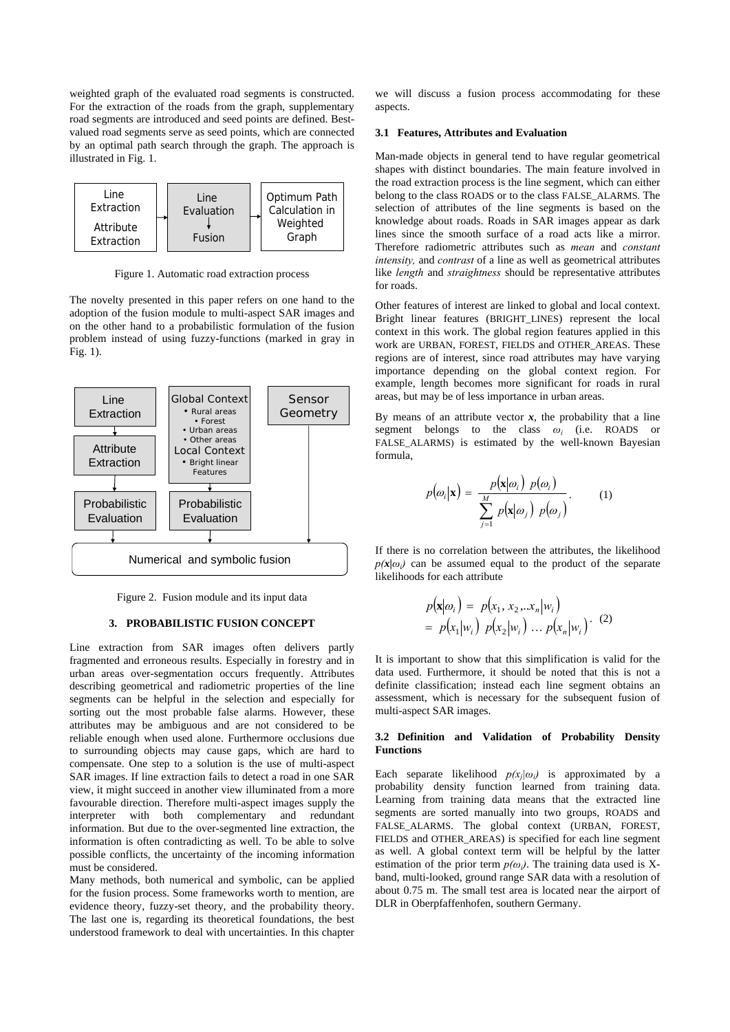weighted graph of the evaluated road segments is constructed. For the extraction of the roads from the graph, supplementary road segments are introduced and seed points are defined. Bestvalued road segments serve as seed points, which are connected by an optimal path search through the graph. The approach is illustrated in Fig. 1.



Figure 1. Automatic road extraction process

The novelty presented in this paper refers on one hand to the adoption of the fusion module to multi-aspect SAR images and on the other hand to a probabilistic formulation of the fusion problem instead of using fuzzy-functions (marked in gray in Fig. 1).



Figure 2. Fusion module and its input data

## **3. PROBABILISTIC FUSION CONCEPT**

Line extraction from SAR images often delivers partly fragmented and erroneous results. Especially in forestry and in urban areas over-segmentation occurs frequently. Attributes describing geometrical and radiometric properties of the line segments can be helpful in the selection and especially for sorting out the most probable false alarms. However, these attributes may be ambiguous and are not considered to be reliable enough when used alone. Furthermore occlusions due to surrounding objects may cause gaps, which are hard to compensate. One step to a solution is the use of multi-aspect SAR images. If line extraction fails to detect a road in one SAR view, it might succeed in another view illuminated from a more favourable direction. Therefore multi-aspect images supply the interpreter with both complementary and redundant information. But due to the over-segmented line extraction, the information is often contradicting as well. To be able to solve possible conflicts, the uncertainty of the incoming information must be considered.

Many methods, both numerical and symbolic, can be applied for the fusion process. Some frameworks worth to mention, are evidence theory, fuzzy-set theory, and the probability theory. The last one is, regarding its theoretical foundations, the best understood framework to deal with uncertainties. In this chapter

we will discuss a fusion process accommodating for these aspects.

#### **3.1 Features, Attributes and Evaluation**

Man-made objects in general tend to have regular geometrical shapes with distinct boundaries. The main feature involved in the road extraction process is the line segment, which can either belong to the class ROADS or to the class FALSE\_ALARMS. The selection of attributes of the line segments is based on the knowledge about roads. Roads in SAR images appear as dark lines since the smooth surface of a road acts like a mirror. Therefore radiometric attributes such as *mean* and *constant intensity,* and *contrast* of a line as well as geometrical attributes like *length* and *straightness* should be representative attributes for roads.

Other features of interest are linked to global and local context. Bright linear features (BRIGHT\_LINES) represent the local context in this work. The global region features applied in this work are URBAN, FOREST, FIELDS and OTHER AREAS. These regions are of interest, since road attributes may have varying importance depending on the global context region. For example, length becomes more significant for roads in rural areas, but may be of less importance in urban areas.

By means of an attribute vector  $x$ , the probability that a line segment belongs to the class  $\omega_i$  (i.e. ROADS or FALSE\_ALARMS) is estimated by the well-known Bayesian formula,

$$
p(\omega_i|\mathbf{x}) = \frac{p(\mathbf{x}|\omega_i) \ p(\omega_i)}{\sum_{j=1}^{M} p(\mathbf{x}|\omega_j) \ p(\omega_j)}.
$$
 (1)

If there is no correlation between the attributes, the likelihood  $p(x|\omega_i)$  can be assumed equal to the product of the separate likelihoods for each attribute

$$
p(\mathbf{x}|\omega_i) = p(x_1, x_2, \ldots, x_n|w_i)
$$
  
=  $p(x_1|w_i) p(x_2|w_i) \ldots p(x_n|w_i)$ . (2)

It is important to show that this simplification is valid for the data used. Furthermore, it should be noted that this is not a definite classification; instead each line segment obtains an assessment, which is necessary for the subsequent fusion of multi-aspect SAR images.

### **3.2 Definition and Validation of Probability Density Functions**

Each separate likelihood  $p(x_i|\omega_i)$  is approximated by a probability density function learned from training data. Learning from training data means that the extracted line segments are sorted manually into two groups, ROADS and FALSE\_ALARMS. The global context (URBAN, FOREST, FIELDS and OTHER\_AREAS) is specified for each line segment as well. A global context term will be helpful by the latter estimation of the prior term  $p(\omega_i)$ . The training data used is Xband, multi-looked, ground range SAR data with a resolution of about 0.75 m. The small test area is located near the airport of DLR in Oberpfaffenhofen, southern Germany.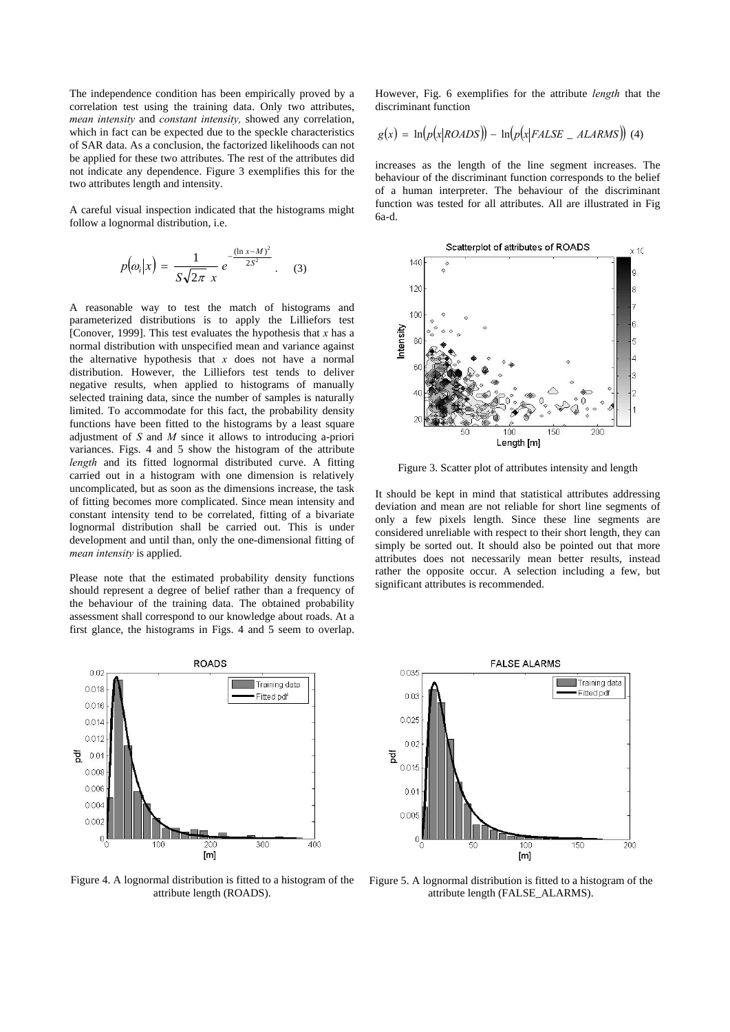The independence condition has been empirically proved by a correlation test using the training data. Only two attributes, *mean intensity* and *constant intensity,* showed any correlation, which in fact can be expected due to the speckle characteristics of SAR data. As a conclusion, the factorized likelihoods can not be applied for these two attributes. The rest of the attributes did not indicate any dependence. Figure 3 exemplifies this for the two attributes length and intensity.

A careful visual inspection indicated that the histograms might follow a lognormal distribution, i.e.

$$
p(\omega_i|x) = \frac{1}{S\sqrt{2\pi} x} e^{-\frac{(\ln x - M)^2}{2S^2}}.
$$
 (3)

A reasonable way to test the match of histograms and parameterized distributions is to apply the Lilliefors test [Conover, 1999]. This test evaluates the hypothesis that *x* has a normal distribution with unspecified mean and variance against the alternative hypothesis that *x* does not have a normal distribution. However, the Lilliefors test tends to deliver negative results, when applied to histograms of manually selected training data, since the number of samples is naturally limited. To accommodate for this fact, the probability density functions have been fitted to the histograms by a least square adjustment of *S* and *M* since it allows to introducing a-priori variances. Figs. 4 and 5 show the histogram of the attribute *length* and its fitted lognormal distributed curve. A fitting carried out in a histogram with one dimension is relatively uncomplicated, but as soon as the dimensions increase, the task of fitting becomes more complicated. Since mean intensity and constant intensity tend to be correlated, fitting of a bivariate lognormal distribution shall be carried out. This is under development and until than, only the one-dimensional fitting of *mean intensity* is applied.

Please note that the estimated probability density functions should represent a degree of belief rather than a frequency of the behaviour of the training data. The obtained probability assessment shall correspond to our knowledge about roads. At a first glance, the histograms in Figs. 4 and 5 seem to overlap.



Figure 4. A lognormal distribution is fitted to a histogram of the attribute length (ROADS).

However, Fig. 6 exemplifies for the attribute *length* that the discriminant function

$$
g(x) = \ln(p(x|ROADS)) - \ln(p(x|FALSE\_ALARMS))
$$
 (4)

increases as the length of the line segment increases. The behaviour of the discriminant function corresponds to the belief of a human interpreter. The behaviour of the discriminant function was tested for all attributes. All are illustrated in Fig 6a-d.



Figure 3. Scatter plot of attributes intensity and length

It should be kept in mind that statistical attributes addressing deviation and mean are not reliable for short line segments of only a few pixels length. Since these line segments are considered unreliable with respect to their short length, they can simply be sorted out. It should also be pointed out that more attributes does not necessarily mean better results, instead rather the opposite occur. A selection including a few, but significant attributes is recommended.



Figure 5. A lognormal distribution is fitted to a histogram of the attribute length (FALSE\_ALARMS).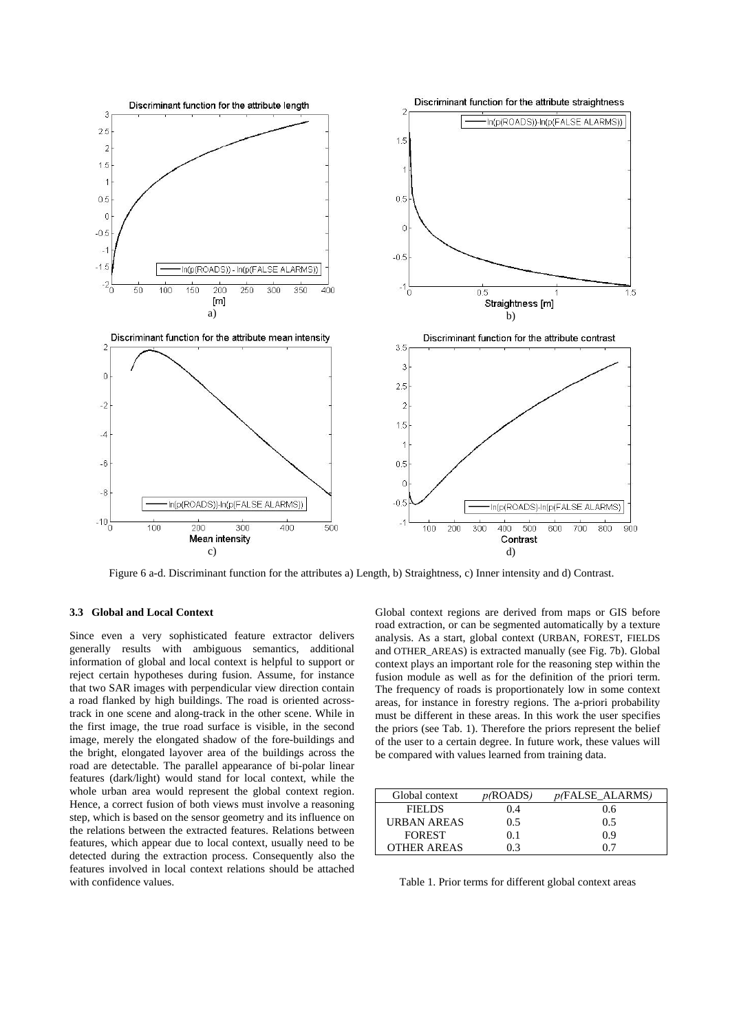

Figure 6 a-d. Discriminant function for the attributes a) Length, b) Straightness, c) Inner intensity and d) Contrast.

#### **3.3 Global and Local Context**

Since even a very sophisticated feature extractor delivers generally results with ambiguous semantics, additional information of global and local context is helpful to support or reject certain hypotheses during fusion. Assume, for instance that two SAR images with perpendicular view direction contain a road flanked by high buildings. The road is oriented acrosstrack in one scene and along-track in the other scene. While in the first image, the true road surface is visible, in the second image, merely the elongated shadow of the fore-buildings and the bright, elongated layover area of the buildings across the road are detectable. The parallel appearance of bi-polar linear features (dark/light) would stand for local context, while the whole urban area would represent the global context region. Hence, a correct fusion of both views must involve a reasoning step, which is based on the sensor geometry and its influence on the relations between the extracted features. Relations between features, which appear due to local context, usually need to be detected during the extraction process. Consequently also the features involved in local context relations should be attached with confidence values.

Global context regions are derived from maps or GIS before road extraction, or can be segmented automatically by a texture analysis. As a start, global context (URBAN, FOREST, FIELDS and OTHER\_AREAS) is extracted manually (see Fig. 7b). Global context plays an important role for the reasoning step within the fusion module as well as for the definition of the priori term. The frequency of roads is proportionately low in some context areas, for instance in forestry regions. The a-priori probability must be different in these areas. In this work the user specifies the priors (see Tab. 1). Therefore the priors represent the belief of the user to a certain degree. In future work, these values will be compared with values learned from training data.

| Global context | <i>p</i> (ROADS) | <i>p(</i> FALSE ALARMS) |
|----------------|------------------|-------------------------|
| <b>FIELDS</b>  | 0.4              | 0.6                     |
| URBAN AREAS    | 0.5              | 0.5                     |
| <b>FOREST</b>  | 0.1              | 0.9                     |
| OTHER AREAS    | በ 3              | ሰ 7                     |

Table 1. Prior terms for different global context areas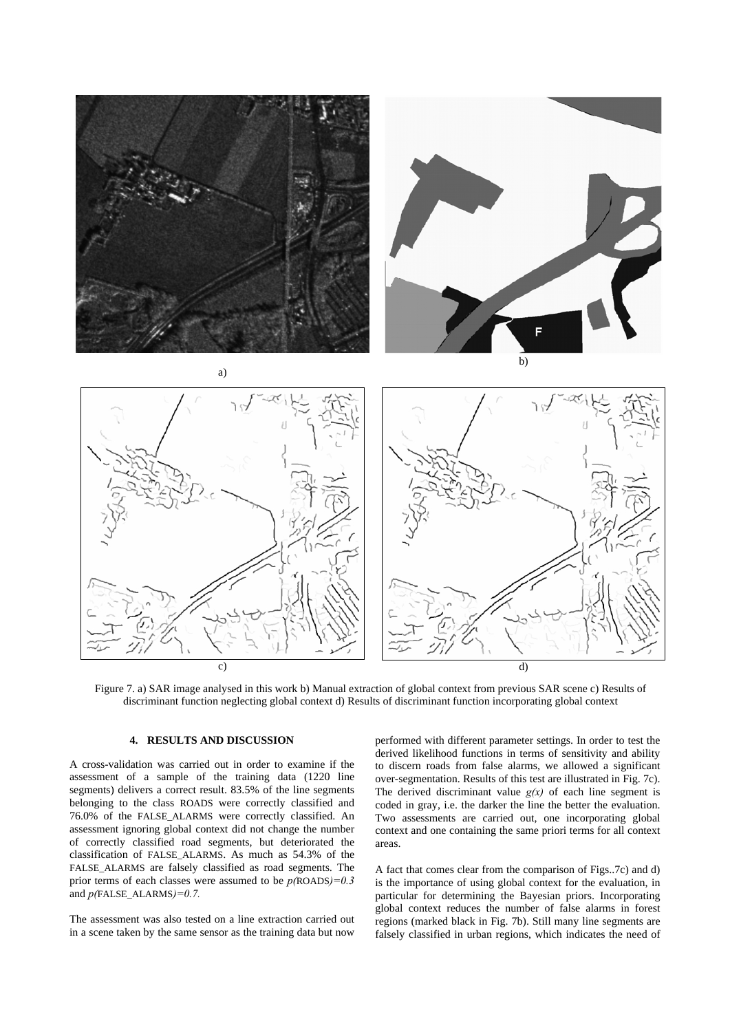

Figure 7. a) SAR image analysed in this work b) Manual extraction of global context from previous SAR scene c) Results of discriminant function neglecting global context d) Results of discriminant function incorporating global context

## **4. RESULTS AND DISCUSSION**

A cross-validation was carried out in order to examine if the assessment of a sample of the training data (1220 line segments) delivers a correct result. 83.5% of the line segments belonging to the class ROADS were correctly classified and 76.0% of the FALSE\_ALARMS were correctly classified. An assessment ignoring global context did not change the number of correctly classified road segments, but deteriorated the classification of FALSE\_ALARMS. As much as 54.3% of the FALSE\_ALARMS are falsely classified as road segments. The prior terms of each classes were assumed to be *p(*ROADS*)=0.3* and *p(*FALSE\_ALARMS*)=0.7.*

The assessment was also tested on a line extraction carried out in a scene taken by the same sensor as the training data but now

performed with different parameter settings. In order to test the derived likelihood functions in terms of sensitivity and ability to discern roads from false alarms, we allowed a significant over-segmentation. Results of this test are illustrated in Fig. 7c). The derived discriminant value  $g(x)$  of each line segment is coded in gray, i.e. the darker the line the better the evaluation. Two assessments are carried out, one incorporating global context and one containing the same priori terms for all context areas.

A fact that comes clear from the comparison of Figs..7c) and d) is the importance of using global context for the evaluation, in particular for determining the Bayesian priors. Incorporating global context reduces the number of false alarms in forest regions (marked black in Fig. 7b). Still many line segments are falsely classified in urban regions, which indicates the need of